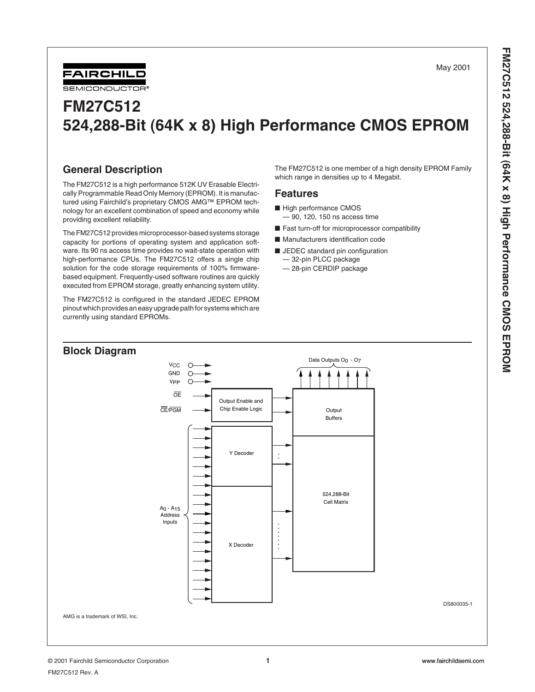May 2001



# **FM27C512 524,288-Bit (64K x 8) High Performance CMOS EPROM**

# **General Description**

The FM27C512 is a high performance 512K UV Erasable Electrically Programmable Read Only Memory (EPROM). It is manufactured using Fairchild's proprietary CMOS AMG™ EPROM technology for an excellent combination of speed and economy while providing excellent reliability.

The FM27C512 provides microprocessor-based systems storage capacity for portions of operating system and application software. Its 90 ns access time provides no wait-state operation with high-performance CPUs. The FM27C512 offers a single chip solution for the code storage requirements of 100% firmwarebased equipment. Frequently-used software routines are quickly executed from EPROM storage, greatly enhancing system utility.

The FM27C512 is configured in the standard JEDEC EPROM pinout which provides an easy upgrade path for systems which are currently using standard EPROMs.

The FM27C512 is one member of a high density EPROM Family which range in densities up to 4 Megabit.

#### **Features**

- High performance CMOS
- 90, 120, 150 ns access time
- Fast turn-off for microprocessor compatibility
- Manufacturers identification code
- JEDEC standard pin configuration
	- 32-pin PLCC package
	- 28-pin CERDIP package

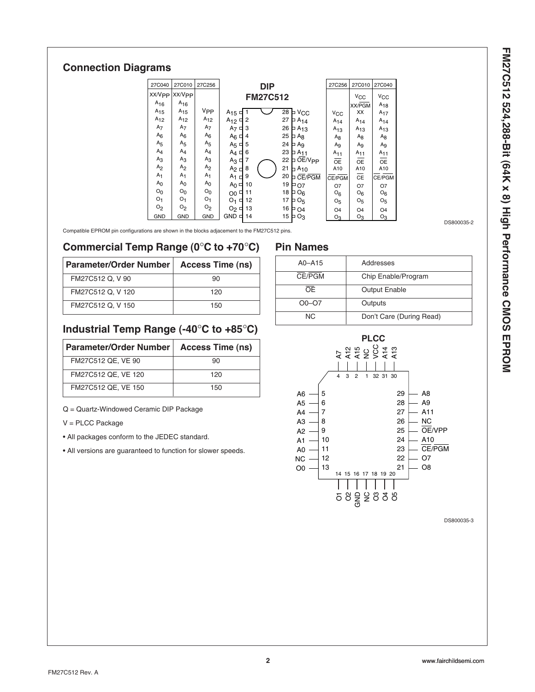# **Connection Diagrams**

| 27C040             | 27C010             | 27C256          |                     | <b>DIP</b>      |    |                 | 27C256          | 27C010                | 27C040         |
|--------------------|--------------------|-----------------|---------------------|-----------------|----|-----------------|-----------------|-----------------------|----------------|
| XX/V <sub>PP</sub> | XX/V <sub>PP</sub> |                 |                     | <b>FM27C512</b> |    |                 |                 | <b>V<sub>CC</sub></b> | $V_{CC}$       |
| $A_{16}$           | $A_{16}$           |                 |                     |                 |    |                 |                 | XX/PGM                | $A_{18}$       |
| $A_{15}$           | $A_{15}$           | V <sub>PP</sub> | $A_{15}$            |                 | 28 | V <sub>CC</sub> | $V_{\rm CC}$    | XX                    | $A_{17}$       |
| $A_{12}$           | $A_{12}$           | $A_{12}$        | $A_{12}$<br>2       |                 | 27 | $A_{14}$        | A <sub>14</sub> | $A_{14}$              | $A_{14}$       |
| A <sub>7</sub>     | A <sub>7</sub>     | A <sub>7</sub>  | A <sub>7</sub><br>3 |                 | 26 | $A_{13}$        | $A_{13}$        | $A_{13}$              | $A_{13}$       |
| $A_6$              | $A_6$              | $A_6$           | $A_6$ $\Box$<br>4   |                 | 25 | $A_8$           | $A_8$           | Ag                    | Ag             |
| A <sub>5</sub>     | A <sub>5</sub>     | A <sub>5</sub>  | 5<br>$A_5 \square$  |                 | 24 | Ag              | $A_9$           | A <sub>9</sub>        | A <sub>9</sub> |
| $A_4$              | $A_4$              | $A_4$           | 6<br>$A_4$          |                 | 23 | $A_{11}$        | $A_{11}$        | $A_{11}$              | $A_{11}$       |
| A <sub>3</sub>     | A <sub>3</sub>     | A <sub>3</sub>  | 7<br>$A_3 \square$  |                 | 22 | OE/Vpp          | ΟE              | <b>OE</b>             | <b>OE</b>      |
| A <sub>2</sub>     | A <sub>2</sub>     | A <sub>2</sub>  | 8<br>A <sub>2</sub> |                 | 21 | $A_{10}$        | A10             | A10                   | A10            |
| A <sub>1</sub>     | A <sub>1</sub>     | A <sub>1</sub>  | 9<br>A <sub>1</sub> |                 | 20 | CE/PGM          | CE/PGM          | CE                    | CE/PGM         |
| A <sub>0</sub>     | A <sub>0</sub>     | A <sub>0</sub>  | $A_0 \Box$          | 10              | 19 | O7              | O7              | O7                    | Ο7             |
| O <sub>0</sub>     | O <sub>0</sub>     | O <sub>0</sub>  | O0                  | 11              | 18 | O <sub>6</sub>  | O <sub>6</sub>  | O <sub>6</sub>        | O <sub>6</sub> |
| O <sub>1</sub>     | O <sub>1</sub>     | O <sub>1</sub>  | O <sub>1</sub><br>□ | 12              | 17 | O <sub>5</sub>  | O <sub>5</sub>  | O <sub>5</sub>        | O <sub>5</sub> |
| O <sub>2</sub>     | O <sub>2</sub>     | O <sub>2</sub>  | $O_2$               | 13              | 16 | O <sub>4</sub>  | O <sub>4</sub>  | O <sub>4</sub>        | O <sub>4</sub> |
| GND                | GND                | <b>GND</b>      | $GND \n\sqsubset$   | 14              | 15 | Oз              | $O_3$           | $O_3$                 | $O_3$          |

Compatible EPROM pin configurations are shown in the blocks adjacement to the FM27C512 pins.

### **Commercial Temp Range (0**°**C to +70**°**C)**

| <b>Parameter/Order Number</b> | <b>Access Time (ns)</b> |
|-------------------------------|-------------------------|
| FM27C512 Q, V 90              | 90                      |
| FM27C512 Q, V 120             | 120                     |
| FM27C512 Q, V 150             | 150                     |

# **Industrial Temp Range (-40**°**C to +85**°**C)**

| Parameter/Order Number | <b>Access Time (ns)</b> |
|------------------------|-------------------------|
| FM27C512 QE, VE 90     | 90                      |
| FM27C512 QE, VE 120    | 120                     |
| FM27C512 QE, VE 150    | 150                     |

Q = Quartz-Windowed Ceramic DIP Package

V = PLCC Package

• All packages conform to the JEDEC standard.

• All versions are guaranteed to function for slower speeds.

# **Pin Names**

| $A0 - A15$  | Addresses                |
|-------------|--------------------------|
| CE/PGM      | Chip Enable/Program      |
| <b>OE</b>   | <b>Output Enable</b>     |
| $O_0 - O_7$ | Outputs                  |
| NC.         | Don't Care (During Read) |



DS800035-3

DS800035-2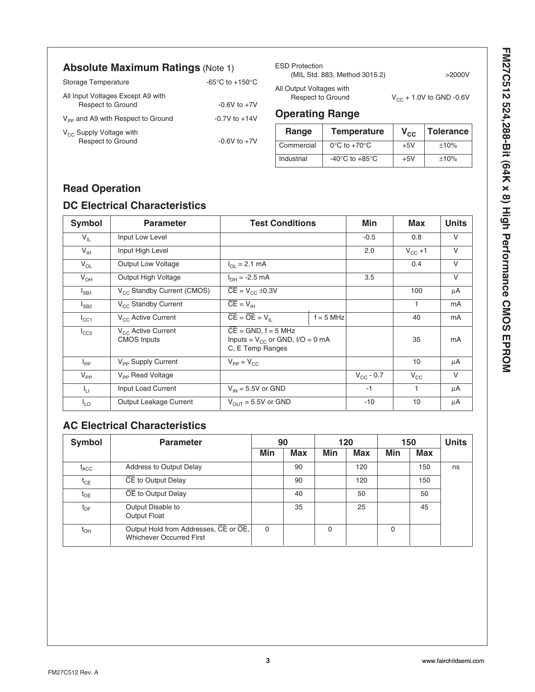FM27C512 524,288-Bit (64K x 8) High Performance CMOS EPROM **FM27C512 524,288-Bit (64K x 8) High Performance CMOS EPROM**

# **Absolute Maximum Ratings** (Note 1)

| Storage Temperature                                           | -65 $\degree$ C to +150 $\degree$ C |
|---------------------------------------------------------------|-------------------------------------|
| All Input Voltages Except A9 with<br><b>Respect to Ground</b> | $-0.6V$ to $+7V$                    |
| V <sub>PP</sub> and A9 with Respect to Ground                 | $-0.7V$ to $+14V$                   |
| $V_{CC}$ Supply Voltage with<br><b>Respect to Ground</b>      | $-0.6V$ to $+7V$                    |

ESD Protection (MIL Std. 883, Method 3015.2) >2000V

All Output Voltages with

 $V_{CC}$  + 1.0V to GND -0.6V

### **Operating Range**

| Range      | <b>Temperature</b>                   | $V_{\rm CC}$ | Tolerance |
|------------|--------------------------------------|--------------|-----------|
| Commercial | $0^{\circ}$ C to +70 $^{\circ}$ C    | $+5V$        | ±10%      |
| Industrial | -40 $^{\circ}$ C to +85 $^{\circ}$ C | $+5V$        | ±10%      |

# **Read Operation**

### **DC Electrical Characteristics**

| <b>Symbol</b>   | <b>Parameter</b>                              | <b>Test Conditions</b>                                                               |             | Min            | <b>Max</b>   | <b>Units</b>   |
|-----------------|-----------------------------------------------|--------------------------------------------------------------------------------------|-------------|----------------|--------------|----------------|
| $V_{IL}$        | Input Low Level                               |                                                                                      | $-0.5$      | 0.8            | V            |                |
| $V_{\text{IH}}$ | Input High Level                              |                                                                                      |             | 2.0            | $V_{CC}$ +1  | $\vee$         |
| $V_{OL}$        | <b>Output Low Voltage</b>                     | $I_{\Omega}$ = 2.1 mA                                                                |             |                | 0.4          | $\vee$         |
| $V_{OH}$        | Output High Voltage                           | $I_{OH} = -2.5$ mA                                                                   |             | 3.5            |              | $\vee$         |
| $I_{SB1}$       | V <sub>CC</sub> Standby Current (CMOS)        | $\overline{CE}$ = V <sub>CC</sub> ±0.3V                                              |             |                | 100          | μA             |
| $I_{SB2}$       | V <sub>CC</sub> Standby Current               | $\overline{CE} = V_{IH}$                                                             |             |                | 1            | m <sub>A</sub> |
| $I_{\rm CC1}$   | V <sub>CC</sub> Active Current                | $CE = OE = V  $                                                                      | $f = 5$ MHz |                | 40           | mA             |
| $I_{CC2}$       | $V_{CC}$ Active Current<br><b>CMOS Inputs</b> | $CE = GND$ , $f = 5 MHz$<br>Inputs = $V_{CC}$ or GND, I/O = 0 mA<br>C, E Temp Ranges |             |                | 35           | mA             |
| $I_{PP}$        | V <sub>PP</sub> Supply Current                | $V_{PP} = V_{CC}$                                                                    |             |                | 10           | μA             |
| $V_{PP}$        | V <sub>PP</sub> Read Voltage                  |                                                                                      |             | $V_{CG} - 0.7$ | $V_{\rm CC}$ | V              |
| Ιų.             | Input Load Current                            | $V_{IN}$ = 5.5V or GND                                                               |             | $-1$           | 1            | μA             |
| $I_{LO}$        | Output Leakage Current                        | $V_{\text{OUT}} = 5.5V$ or GND                                                       |             | $-10$          | 10           | μA             |

# **AC Electrical Characteristics**

| <b>Symbol</b>    | <b>Parameter</b>                                                         | 90       |            | 120 |            | 150 |            | <b>Units</b> |
|------------------|--------------------------------------------------------------------------|----------|------------|-----|------------|-----|------------|--------------|
|                  |                                                                          | Min      | <b>Max</b> | Min | <b>Max</b> | Min | <b>Max</b> |              |
| $t_{\text{ACC}}$ | Address to Output Delay                                                  |          | 90         |     | 120        |     | 150        | ns           |
| $t_{CE}$         | CE to Output Delay                                                       |          | 90         |     | 120        |     | 150        |              |
| $t_{OE}$         | OE to Output Delay                                                       |          | 40         |     | 50         |     | 50         |              |
| $t_{\text{DF}}$  | Output Disable to<br>Output Float                                        |          | 35         |     | 25         |     | 45         |              |
| $t_{\text{OH}}$  | Output Hold from Addresses, CE or OE,<br><b>Whichever Occurred First</b> | $\Omega$ |            | 0   |            | 0   |            |              |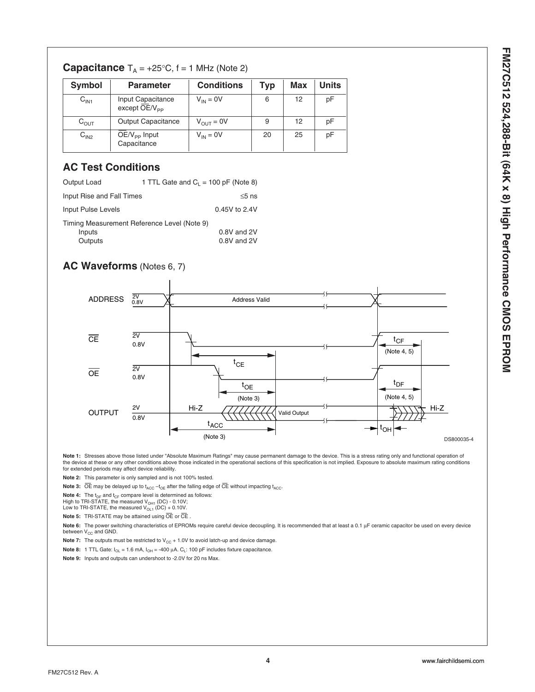| <b>Symbol</b>    | <b>Parameter</b>                               | <b>Conditions</b> | Typ | Max | Units |
|------------------|------------------------------------------------|-------------------|-----|-----|-------|
| C <sub>IN1</sub> | Input Capacitance<br>except OE/V <sub>PP</sub> | $V_{IN} = 0V$     | 6   | 12  | рF    |
| $C_{\text{OUT}}$ | <b>Output Capacitance</b>                      | $V_{OUT} = 0V$    | 9   | 12  | рF    |
| C <sub>IN2</sub> | $OE/V_{PP}$ Input<br>Capacitance               | $V_{IN} = 0V$     | 20  | 25  | рF    |

# **Capacitance**  $T_A = +25^\circ \text{C}$ ,  $f = 1$  MHz (Note 2)

# **AC Test Conditions**

| Output Load                                           | 1 TTL Gate and $C_1 = 100$ pF (Note 8) |               |  |  |  |
|-------------------------------------------------------|----------------------------------------|---------------|--|--|--|
| Input Rise and Fall Times                             |                                        | $\leq$ 5 ns   |  |  |  |
| Input Pulse Levels                                    |                                        | 0.45V to 2.4V |  |  |  |
| Timing Measurement Reference Level (Note 9)<br>Inputs |                                        | 0.8V and 2V   |  |  |  |
| Outputs                                               |                                        | 0.8V and 2V   |  |  |  |

# **AC Waveforms** (Notes 6, 7)



Note 1: Stresses above those listed under "Absolute Maximum Ratings" may cause permanent damage to the device. This is a stress rating only and functional operation of the device at these or any other conditions above those indicated in the operational sections of this specification is not implied. Exposure to absolute maximum rating conditions<br>for extended periods may affect device reli

**Note 2:** This parameter is only sampled and is not 100% tested.

**Note 3:**  $\overline{OE}$  may be delayed up to  $t_{ACC} - t_{OE}$  after the falling edge of  $\overline{CE}$  without impacting  $t_{ACC}$ .

**Note 4:** The t<sub>DF</sub> and t<sub>CF</sub> compare level is determined as follows:<br>High to TRI-STATE, the measured V<sub>OH1</sub> (DC) - 0.10V;<br>Low to TRI-STATE, the measured V<sub>OL1</sub> (DC) + 0.10V.

**Note 5:** TRI-STATE may be attained using OE or CE

Note 6: The power switching characteristics of EPROMs require careful device decoupling. It is recommended that at least a 0.1 µF ceramic capacitor be used on every device between  $V_{CC}$  and GND.

**Note 7:** The outputs must be restricted to  $V_{CC}$  + 1.0V to avoid latch-up and device damage.

**Note 8:** 1 TTL Gate:  $I_{OL} = 1.6$  mA,  $I_{OH} = -400 \mu A$ .  $C_L$ : 100 pF includes fixture capacitance.

**Note 9:** Inputs and outputs can undershoot to -2.0V for 20 ns Max.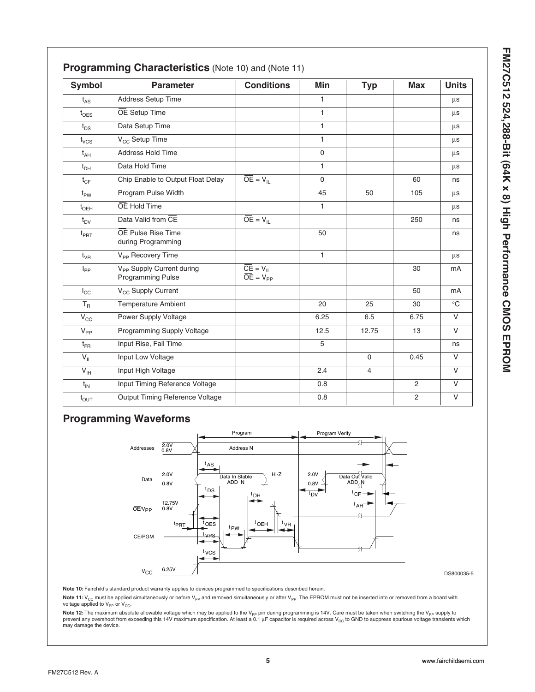| )<br>)<br>)                     |
|---------------------------------|
| j                               |
|                                 |
| ֚֚֚֬                            |
| $\frac{1}{2}$                   |
|                                 |
|                                 |
|                                 |
| J                               |
|                                 |
| i                               |
| ¢                               |
| $\overline{\phantom{a}}$        |
| 1                               |
|                                 |
|                                 |
|                                 |
|                                 |
|                                 |
|                                 |
|                                 |
|                                 |
|                                 |
|                                 |
|                                 |
|                                 |
|                                 |
|                                 |
|                                 |
| l                               |
|                                 |
| <b>ISSING ANALYSIS AND LINE</b> |

| <b>Symbol</b>    | <b>Parameter</b>                                           | <b>Conditions</b>        | Min          | <b>Typ</b>     | <b>Max</b>     | <b>Units</b> |
|------------------|------------------------------------------------------------|--------------------------|--------------|----------------|----------------|--------------|
| $t_{AS}$         | Address Setup Time                                         |                          | $\mathbf{1}$ |                |                | μs           |
| $t_{\text{OES}}$ | OE Setup Time                                              |                          | $\mathbf{1}$ |                |                | μs           |
| $t_{DS}$         | Data Setup Time                                            |                          | $\mathbf{1}$ |                |                | μs           |
| $t_{VCS}$        | V <sub>CC</sub> Setup Time                                 |                          | $\mathbf{1}$ |                |                | μs           |
| $t_{AH}$         | Address Hold Time                                          |                          | $\Omega$     |                |                | $\mu s$      |
| $t_{DH}$         | Data Hold Time                                             |                          | $\mathbf{1}$ |                |                | μs           |
| $t_{CF}$         | Chip Enable to Output Float Delay                          | $\overline{OE} = V_{IL}$ | $\mathbf 0$  |                | 60             | ns           |
| $t_{PW}$         | Program Pulse Width                                        |                          | 45           | 50             | 105            | μs           |
| $t_{\text{OEH}}$ | OE Hold Time                                               |                          | $\mathbf{1}$ |                |                | μs           |
| $t_{DV}$         | Data Valid from CE                                         | $\overline{OE} = V_{IL}$ |              |                | 250            | ns           |
| $t_{\text{PRT}}$ | OE Pulse Rise Time<br>during Programming                   |                          | 50           |                |                | ns           |
| $t_{VR}$         | V <sub>PP</sub> Recovery Time                              |                          | $\mathbf{1}$ |                |                | μs           |
| $I_{PP}$         | V <sub>PP</sub> Supply Current during<br>Programming Pulse | $\overline{OE} = V_{PP}$ |              |                | 30             | mA           |
| $I_{\rm CC}$     | V <sub>CC</sub> Supply Current                             |                          |              |                | 50             | mA           |
| $T_R$            | <b>Temperature Ambient</b>                                 |                          | 20           | 25             | 30             | $^{\circ}$ C |
| $V_{\rm CC}$     | Power Supply Voltage                                       |                          | 6.25         | 6.5            | 6.75           | $\vee$       |
| $V_{PP}$         | Programming Supply Voltage                                 |                          | 12.5         | 12.75          | 13             | $\vee$       |
| $t_{FR}$         | Input Rise, Fall Time                                      |                          | 5            |                |                | ns           |
| $V_{IL}$         | Input Low Voltage                                          |                          |              | $\Omega$       | 0.45           | $\vee$       |
| $V_{\text{IH}}$  | Input High Voltage                                         |                          | 2.4          | $\overline{4}$ |                | $\vee$       |
| $t_{IN}$         | Input Timing Reference Voltage                             |                          | 0.8          |                | 2              | $\vee$       |
| $t_{\text{OUT}}$ | Output Timing Reference Voltage                            |                          | 0.8          |                | $\overline{c}$ | $\vee$       |

### **Programming Waveforms**



DS800035-5

**Note 10:** Fairchild's standard product warranty applies to devices programmed to specifications described herein.

Note 11: V<sub>CC</sub> must be applied simultaneously or before V<sub>PP</sub> and removed simultaneously or after V<sub>PP</sub>. The EPROM must not be inserted into or removed from a board with voltage applied to  $V_{PP}$  or  $V_{CC}$ .

**Note 12:** The maximum absolute allowable voltage which may be applied to the V<sub>PP</sub> pin during programming is 14V. Care must be taken when switching the V<sub>PP</sub> supply to<br>prevent any overshoot from exceeding this 14V maximum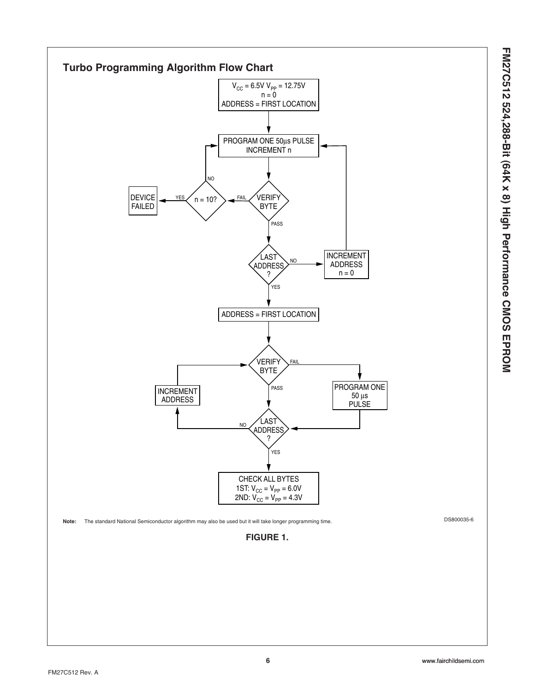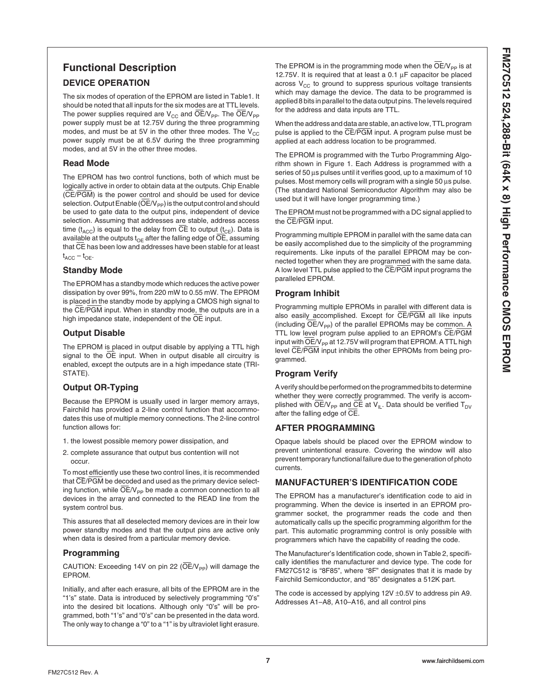# **Functional Description**

#### **DEVICE OPERATION**

The six modes of operation of the EPROM are listed in Table1. It should be noted that all inputs for the six modes are at TTL levels. The power supplies required are  $V_{CC}$  and  $\overline{OE}/V_{PP}$ . The  $\overline{OE}/V_{PP}$ power supply must be at 12.75V during the three programming modes, and must be at 5V in the other three modes. The  $V_{CC}$ power supply must be at 6.5V during the three programming modes, and at 5V in the other three modes.

#### **Read Mode**

The EPROM has two control functions, both of which must be logically active in order to obtain data at the outputs. Chip Enable (CE/PGM) is the power control and should be used for device selection. Output Enable ( $\overline{\text{OE}}/\text{V}_{\text{PP}}$ ) is the output control and should be used to gate data to the output pins, independent of device selection. Assuming that addresses are stable, address access time ( $t_{\text{ACC}}$ ) is equal to the delay from CE to output ( $t_{\text{CE}}$ ). Data is available at the outputs  $t_{OE}$  after the falling edge of  $\overline{OE}$ , assuming that CE has been low and addresses have been stable for at least  $t_{ACC} - t_{OE}$ .

#### **Standby Mode**

The EPROM has a standby mode which reduces the active power dissipation by over 99%, from 220 mW to 0.55 mW. The EPROM is placed in the standby mode by applying a CMOS high signal to the CE/PGM input. When in standby mode, the outputs are in a high impedance state, independent of the OE input.

#### **Output Disable**

The EPROM is placed in output disable by applying a TTL high signal to the  $\overline{OE}$  input. When in output disable all circuitry is enabled, except the outputs are in a high impedance state (TRI-STATE).

#### **Output OR-Typing**

Because the EPROM is usually used in larger memory arrays, Fairchild has provided a 2-line control function that accommodates this use of multiple memory connections. The 2-line control function allows for:

- 1. the lowest possible memory power dissipation, and
- 2. complete assurance that output bus contention will not occur.

To most efficiently use these two control lines, it is recommended that CE/PGM be decoded and used as the primary device selecting function, while  $\overline{OE}/V_{PP}$  be made a common connection to all devices in the array and connected to the READ line from the system control bus.

This assures that all deselected memory devices are in their low power standby modes and that the output pins are active only when data is desired from a particular memory device.

#### **Programming**

CAUTION: Exceeding 14V on pin 22 ( $\overline{OE}/V_{\text{PP}}$ ) will damage the EPROM.

Initially, and after each erasure, all bits of the EPROM are in the "1's" state. Data is introduced by selectively programming "0's" into the desired bit locations. Although only "0's" will be programmed, both "1's" and "0's" can be presented in the data word. The only way to change a "0" to a "1" is by ultraviolet light erasure. The EPROM is in the programming mode when the  $OE/V_{\text{PP}}$  is at 12.75V. It is required that at least a 0.1  $\mu$ F capacitor be placed across  $V_{CC}$  to ground to suppress spurious voltage transients which may damage the device. The data to be programmed is applied 8 bits in parallel to the data output pins. The levels required for the address and data inputs are TTL.

When the address and data are stable, an active low, TTL program pulse is applied to the CE/PGM input. A program pulse must be applied at each address location to be programmed.

The EPROM is programmed with the Turbo Programming Algorithm shown in Figure 1. Each Address is programmed with a series of 50 µs pulses until it verifies good, up to a maximum of 10 pulses. Most memory cells will program with a single 50 µs pulse. (The standard National Semiconductor Algorithm may also be used but it will have longer programming time.)

The EPROM must not be programmed with a DC signal applied to the CE/PGM input.

Programming multiple EPROM in parallel with the same data can be easily accomplished due to the simplicity of the programming requirements. Like inputs of the parallel EPROM may be connected together when they are programmed with the same data. A low level TTL pulse applied to the CE/PGM input programs the paralleled EPROM.

#### **Program Inhibit**

Programming multiple EPROMs in parallel with different data is also easily accomplished. Except for  $\overline{\text{CE}}/\overline{\text{PGM}}$  all like inputs (including  $OE/V_{\text{pp}}$ ) of the parallel EPROMs may be common. A TTL low level program pulse applied to an EPROM's CE/PGM input with  $\overline{OE}/V_{PP}$  at 12.75V will program that EPROM. A TTL high level CE/PGM input inhibits the other EPROMs from being programmed.

#### **Program Verify**

A verify should be performed on the programmed bits to determine whether they were correctly programmed. The verify is accomplished with OE/V<sub>PP</sub> and CE at V<sub>IL</sub>. Data should be verified  $T_{DY}$ after the falling edge of CE.

#### **AFTER PROGRAMMING**

Opaque labels should be placed over the EPROM window to prevent unintentional erasure. Covering the window will also prevent temporary functional failure due to the generation of photo currents.

#### **MANUFACTURER'S IDENTIFICATION CODE**

The EPROM has a manufacturer's identification code to aid in programming. When the device is inserted in an EPROM programmer socket, the programmer reads the code and then automatically calls up the specific programming algorithm for the part. This automatic programming control is only possible with programmers which have the capability of reading the code.

The Manufacturer's Identification code, shown in Table 2, specifically identifies the manufacturer and device type. The code for FM27C512 is "8F85", where "8F" designates that it is made by Fairchild Semiconductor, and "85" designates a 512K part.

The code is accessed by applying  $12V \pm 0.5V$  to address pin A9. Addresses A1–A8, A10–A16, and all control pins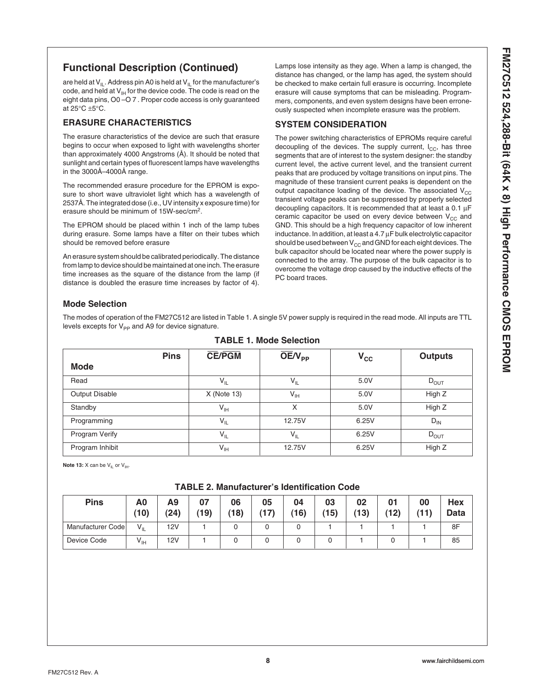### **Functional Description (Continued)**

are held at  $V_{II}$ . Address pin A0 is held at  $V_{II}$  for the manufacturer's code, and held at  $V_{\text{H}}$  for the device code. The code is read on the eight data pins, O0 –O 7 . Proper code access is only guaranteed at 25°C ±5°C.

#### **ERASURE CHARACTERISTICS**

The erasure characteristics of the device are such that erasure begins to occur when exposed to light with wavelengths shorter than approximately 4000 Angstroms (Å). It should be noted that sunlight and certain types of fluorescent lamps have wavelengths in the 3000Å–4000Å range.

The recommended erasure procedure for the EPROM is exposure to short wave ultraviolet light which has a wavelength of 2537Å. The integrated dose (i.e., UV intensity x exposure time) for erasure should be minimum of 15W-sec/cm2.

The EPROM should be placed within 1 inch of the lamp tubes during erasure. Some lamps have a filter on their tubes which should be removed before erasure

An erasure system should be calibrated periodically. The distance from lamp to device should be maintained at one inch. The erasure time increases as the square of the distance from the lamp (if distance is doubled the erasure time increases by factor of 4).

Lamps lose intensity as they age. When a lamp is changed, the distance has changed, or the lamp has aged, the system should be checked to make certain full erasure is occurring. Incomplete erasure will cause symptoms that can be misleading. Programmers, components, and even system designs have been erroneously suspected when incomplete erasure was the problem.

#### **SYSTEM CONSIDERATION**

The power switching characteristics of EPROMs require careful decoupling of the devices. The supply current,  $I_{CC}$ , has three segments that are of interest to the system designer: the standby current level, the active current level, and the transient current peaks that are produced by voltage transitions on input pins. The magnitude of these transient current peaks is dependent on the output capacitance loading of the device. The associated  $V_{CC}$ transient voltage peaks can be suppressed by properly selected decoupling capacitors. It is recommended that at least a  $0.1 \mu F$ ceramic capacitor be used on every device between  $V_{CC}$  and GND. This should be a high frequency capacitor of low inherent inductance. In addition, at least a 4.7 µF bulk electrolytic capacitor should be used between  $V_{CC}$  and GND for each eight devices. The bulk capacitor should be located near where the power supply is connected to the array. The purpose of the bulk capacitor is to overcome the voltage drop caused by the inductive effects of the PC board traces.

#### **Mode Selection**

The modes of operation of the FM27C512 are listed in Table 1. A single 5V power supply is required in the read mode. All inputs are TTL levels excepts for  $V_{PP}$  and A9 for device signature.

| <b>Pins</b><br><b>Mode</b> | <b>CE/PGM</b>   | $OE/V_{PP}$ | $V_{\rm CC}$ | <b>Outputs</b> |
|----------------------------|-----------------|-------------|--------------|----------------|
| Read                       | $V_{IL}$        | $V_{IL}$    | 5.0V         | $D_{OUT}$      |
| <b>Output Disable</b>      | $X$ (Note 13)   | $V_{IH}$    | 5.0V         | High Z         |
| Standby                    | $V_{IH}$        | X           | 5.0V         | High Z         |
| Programming                | $V_{IL}$        | 12.75V      | 6.25V        | $D_{IN}$       |
| Program Verify             | $V_{IL}$        | $V_{IL}$    | 6.25V        | $D_{OUT}$      |
| Program Inhibit            | $V_{\text{IH}}$ | 12.75V      | 6.25V        | High Z         |

**TABLE 1. Mode Selection**

**Note 13:** X can be V<sub>IL</sub> or V<sub>IH</sub>.

#### **TABLE 2. Manufacturer's Identification Code**

| <b>Pins</b>       | A0<br>(10)      | A9<br>(24) | 07<br>(19) | 06<br>(18) | 05<br>(17) | 04<br>(16) | 03<br>(15) | 02<br>(13) | 01<br>(12) | 00<br>711) | Hex<br>Data |
|-------------------|-----------------|------------|------------|------------|------------|------------|------------|------------|------------|------------|-------------|
| Manufacturer Code | $V_{IL}$        | 12V        |            |            |            |            |            |            |            |            | 8F          |
| Device Code       | $V_{\text{IH}}$ | 12V        |            |            |            |            |            |            |            |            | 85          |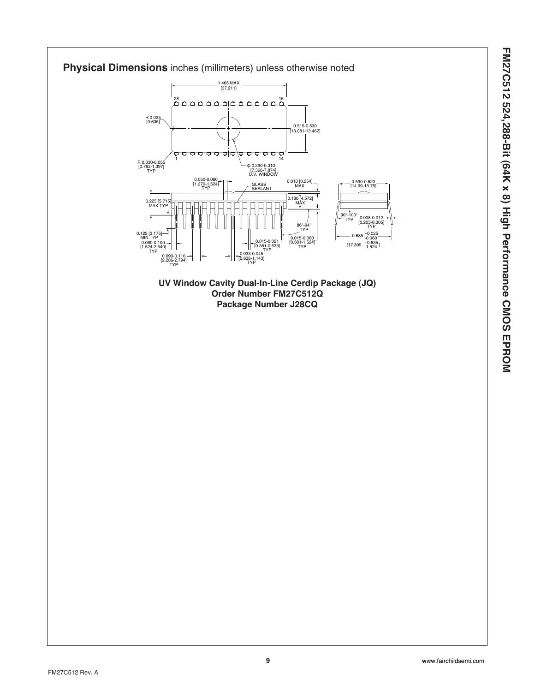